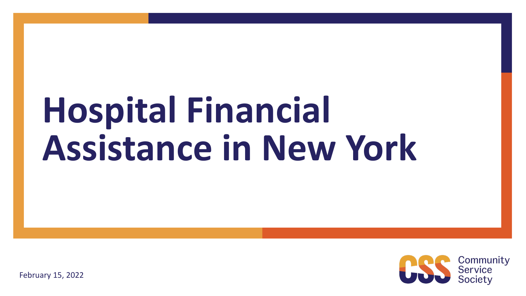# **Hospital Financial Assistance in New York**



February 15, 2022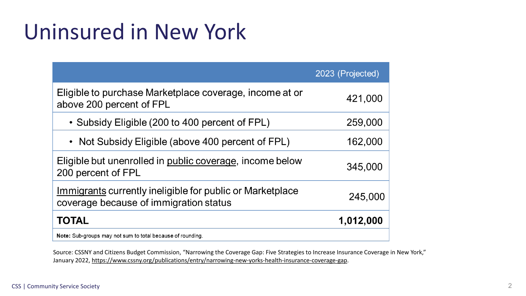### Uninsured in New York

|                                                                                                     | 2023 (Projected) |
|-----------------------------------------------------------------------------------------------------|------------------|
| Eligible to purchase Marketplace coverage, income at or<br>above 200 percent of FPL                 | 421,000          |
| • Subsidy Eligible (200 to 400 percent of FPL)                                                      | 259,000          |
| • Not Subsidy Eligible (above 400 percent of FPL)                                                   | 162,000          |
| Eligible but unenrolled in public coverage, income below<br>200 percent of FPL                      | 345,000          |
| Immigrants currently ineligible for public or Marketplace<br>coverage because of immigration status | 245,000          |
| <b>TOTAL</b>                                                                                        | 1,012,000        |
| Note: Sub-groups may not sum to total because of rounding.                                          |                  |

Source: CSSNY and Citizens Budget Commission, "Narrowing the Coverage Gap: Five Strategies to Increase Insurance Coverage in New York," January 2022, [https://www.cssny.org/publications/entry/narrowing-new-yorks-health-insurance-coverage-gap.](https://www.cssny.org/publications/entry/narrowing-new-yorks-health-insurance-coverage-gap)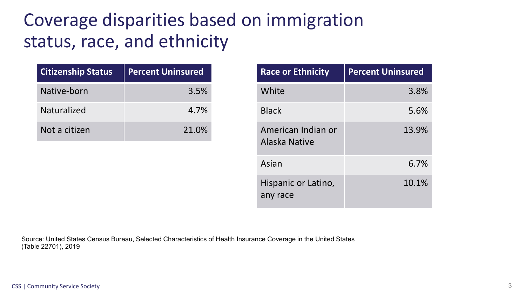### Coverage disparities based on immigration status, race, and ethnicity

| <b>Citizenship Status</b> | <b>Percent Uninsured</b> |
|---------------------------|--------------------------|
| Native-born               | 3.5%                     |
| Naturalized               | 4.7%                     |
| Not a citizen             | 21.0%                    |

| <b>Race or Ethnicity</b>            | <b>Percent Uninsured</b> |
|-------------------------------------|--------------------------|
| White                               | 3.8%                     |
| <b>Black</b>                        | 5.6%                     |
| American Indian or<br>Alaska Native | 13.9%                    |
| Asian                               | 6.7%                     |
| Hispanic or Latino,<br>any race     | 10.1%                    |

Source: United States Census Bureau, Selected Characteristics of Health Insurance Coverage in the United States (Table 22701), 2019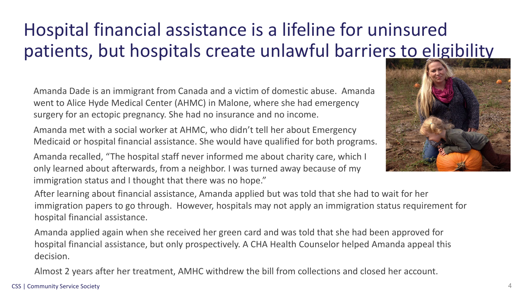### Hospital financial assistance is a lifeline for uninsured patients, but hospitals create unlawful barriers to eligibility

Amanda Dade is an immigrant from Canada and a victim of domestic abuse. Amanda went to Alice Hyde Medical Center (AHMC) in Malone, where she had emergency surgery for an ectopic pregnancy. She had no insurance and no income.

Amanda met with a social worker at AHMC, who didn't tell her about Emergency Medicaid or hospital financial assistance. She would have qualified for both programs.

Amanda recalled, "The hospital staff never informed me about charity care, which I only learned about afterwards, from a neighbor. I was turned away because of my immigration status and I thought that there was no hope."



After learning about financial assistance, Amanda applied but was told that she had to wait for her immigration papers to go through. However, hospitals may not apply an immigration status requirement for hospital financial assistance.

Amanda applied again when she received her green card and was told that she had been approved for hospital financial assistance, but only prospectively. A CHA Health Counselor helped Amanda appeal this decision.

Almost 2 years after her treatment, AMHC withdrew the bill from collections and closed her account.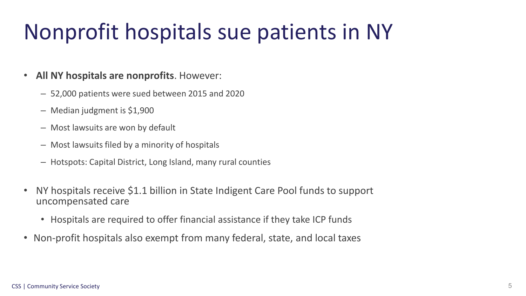### Nonprofit hospitals sue patients in NY

- **All NY hospitals are nonprofits**. However:
	- 52,000 patients were sued between 2015 and 2020
	- Median judgment is \$1,900
	- Most lawsuits are won by default
	- Most lawsuits filed by a minority of hospitals
	- Hotspots: Capital District, Long Island, many rural counties
- NY hospitals receive \$1.1 billion in State Indigent Care Pool funds to support uncompensated care
	- Hospitals are required to offer financial assistance if they take ICP funds
- Non-profit hospitals also exempt from many federal, state, and local taxes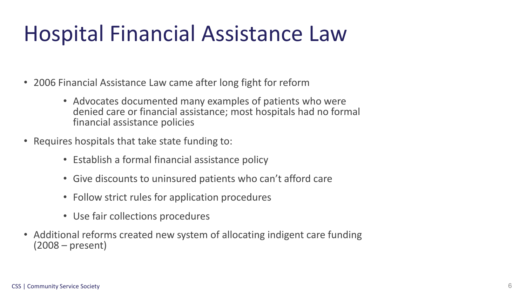### Hospital Financial Assistance Law

- 2006 Financial Assistance Law came after long fight for reform
	- Advocates documented many examples of patients who were denied care or financial assistance; most hospitals had no formal financial assistance policies
- Requires hospitals that take state funding to:
	- Establish a formal financial assistance policy
	- Give discounts to uninsured patients who can't afford care
	- Follow strict rules for application procedures
	- Use fair collections procedures
- Additional reforms created new system of allocating indigent care funding (2008 – present)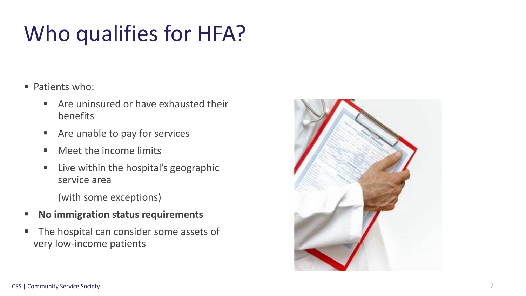### Who qualifies for HFA?

- **Patients who:** 
	- **E** Are uninsured or have exhausted their benefits
	- **EXTED Are unable to pay for services**
	- Meet the income limits
	- **E** Live within the hospital's geographic service area

(with some exceptions)

- **No immigration status requirements**
- The hospital can consider some assets of very low-income patients

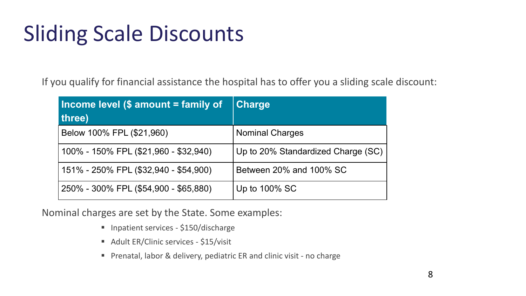### Sliding Scale Discounts

If you qualify for financial assistance the hospital has to offer you a sliding scale discount:

| Income level (\$ amount = family of<br>three) | <b>Charge</b>                      |
|-----------------------------------------------|------------------------------------|
| Below 100% FPL (\$21,960)                     | <b>Nominal Charges</b>             |
| 100% - 150% FPL (\$21,960 - \$32,940)         | Up to 20% Standardized Charge (SC) |
| 151% - 250% FPL (\$32,940 - \$54,900)         | Between 20% and 100% SC            |
| 250% - 300% FPL (\$54,900 - \$65,880)         | Up to 100% SC                      |

Nominal charges are set by the State. Some examples:

- **Inpatient services \$150/discharge**
- Adult ER/Clinic services \$15/visit
- Prenatal, labor & delivery, pediatric ER and clinic visit no charge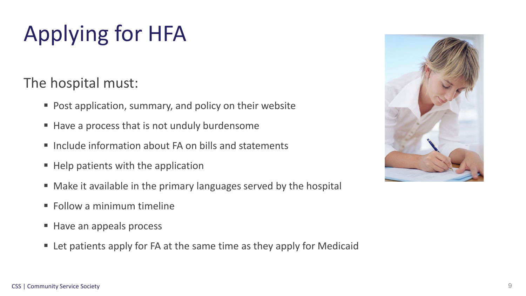## Applying for HFA

#### The hospital must:

- Post application, summary, and policy on their website
- Have a process that is not unduly burdensome
- Include information about FA on bills and statements
- Help patients with the application
- Make it available in the primary languages served by the hospital
- **Follow a minimum timeline**
- Have an appeals process
- Let patients apply for FA at the same time as they apply for Medicaid

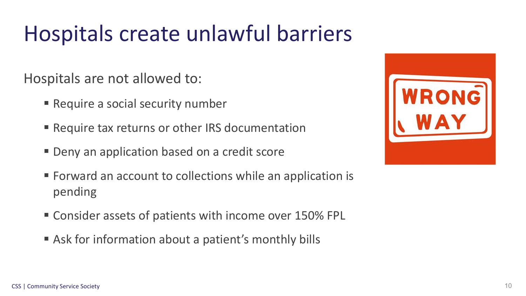### Hospitals create unlawful barriers

Hospitals are not allowed to:

- **Require a social security number**
- **Require tax returns or other IRS documentation**
- **Deny an application based on a credit score**
- **Forward an account to collections while an application is** pending
- **Consider assets of patients with income over 150% FPL**
- Ask for information about a patient's monthly bills

| ROM |
|-----|
|     |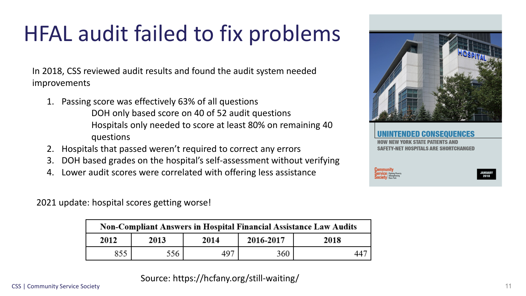### HFAL audit failed to fix problems

In 2018, CSS reviewed audit results and found the audit system needed improvements

1. Passing score was effectively 63% of all questions

DOH only based score on 40 of 52 audit questions Hospitals only needed to score at least 80% on remaining 40 questions

- 2. Hospitals that passed weren't required to correct any errors
- 3. DOH based grades on the hospital's self-assessment without verifying
- 4. Lower audit scores were correlated with offering less assistance

2021 update: hospital scores getting worse!

| Non-Compliant Answers in Hospital Financial Assistance Law Audits |      |      |           |      |  |
|-------------------------------------------------------------------|------|------|-----------|------|--|
| 2012                                                              | 2013 | 2014 | 2016-2017 | 2018 |  |
| 855                                                               |      | 497  | 360       | 447  |  |





#### UENCES

**SAFETY-NET HOSPITALS ARE SHORTCHANGED** 

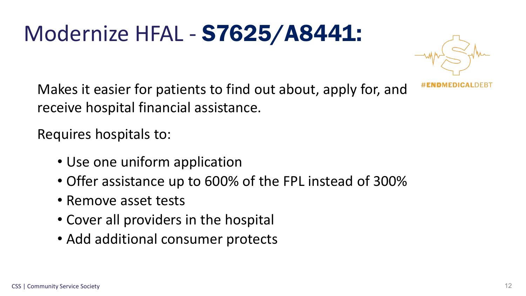## Modernize HFAL - S7625/A8441:



Makes it easier for patients to find out about, apply for, and receive hospital financial assistance.

Requires hospitals to:

- Use one uniform application
- Offer assistance up to 600% of the FPL instead of 300%
- Remove asset tests
- Cover all providers in the hospital
- Add additional consumer protects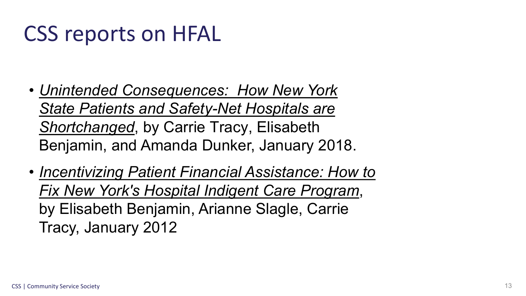### CSS reports on HFAL

- *Unintended Consequences: How New York [State Patients and Safety-Net Hospitals are](https://www.cssny.org/publications/entry/unintended_consequences)  Shortchanged*, by Carrie Tracy, Elisabeth Benjamin, and Amanda Dunker, January 2018.
- *[Incentivizing Patient Financial Assistance: How to](https://www.cssny.org/publications/entry/incentivizing-patient-financial-assistanceFeb2012)  Fix New York's Hospital Indigent Care Program*, by Elisabeth Benjamin, Arianne Slagle, Carrie Tracy, January 2012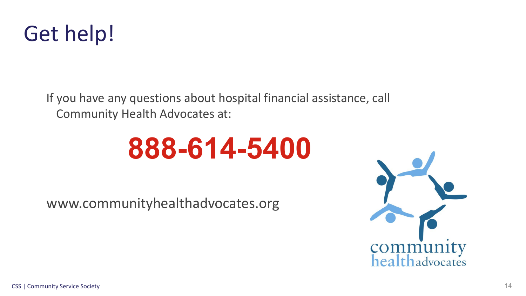

If you have any questions about hospital financial assistance, call Community Health Advocates at:

## **888-614-5400**

www.communityhealthadvocates.org